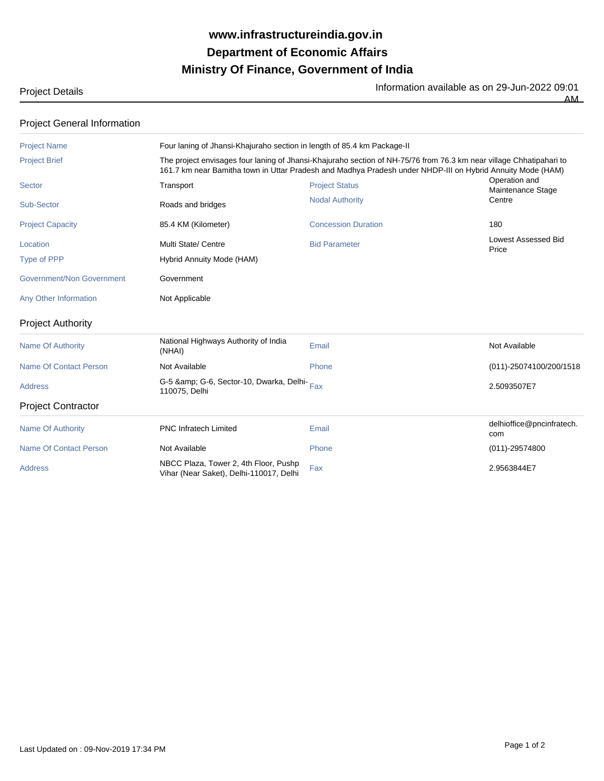## **Ministry Of Finance, Government of India Department of Economic Affairs www.infrastructureindia.gov.in**

Information available as on 29-Jun-2022 09:01

 $\overline{AM}$ 

Project Details

| <b>Project General Information</b> |  |  |
|------------------------------------|--|--|

| <b>Project Name</b>           | Four laning of Jhansi-Khajuraho section in length of 85.4 km Package-II                                                                                                                                                           |                            |                                     |  |  |
|-------------------------------|-----------------------------------------------------------------------------------------------------------------------------------------------------------------------------------------------------------------------------------|----------------------------|-------------------------------------|--|--|
| <b>Project Brief</b>          | The project envisages four laning of Jhansi-Khajuraho section of NH-75/76 from 76.3 km near village Chhatipahari to<br>161.7 km near Bamitha town in Uttar Pradesh and Madhya Pradesh under NHDP-III on Hybrid Annuity Mode (HAM) |                            |                                     |  |  |
| Sector                        | Transport                                                                                                                                                                                                                         | <b>Project Status</b>      | Operation and<br>Maintenance Stage  |  |  |
| Sub-Sector                    | Roads and bridges                                                                                                                                                                                                                 | <b>Nodal Authority</b>     | Centre                              |  |  |
| <b>Project Capacity</b>       | 85.4 KM (Kilometer)                                                                                                                                                                                                               | <b>Concession Duration</b> | 180                                 |  |  |
| Location                      | Multi State/ Centre                                                                                                                                                                                                               | <b>Bid Parameter</b>       | <b>Lowest Assessed Bid</b><br>Price |  |  |
| Type of PPP                   | Hybrid Annuity Mode (HAM)                                                                                                                                                                                                         |                            |                                     |  |  |
| Government/Non Government     | Government                                                                                                                                                                                                                        |                            |                                     |  |  |
| Any Other Information         | Not Applicable                                                                                                                                                                                                                    |                            |                                     |  |  |
| <b>Project Authority</b>      |                                                                                                                                                                                                                                   |                            |                                     |  |  |
| <b>Name Of Authority</b>      | National Highways Authority of India<br>(NHAI)                                                                                                                                                                                    | Email                      | Not Available                       |  |  |
| <b>Name Of Contact Person</b> | Not Available                                                                                                                                                                                                                     | Phone                      | (011)-25074100/200/1518             |  |  |
| <b>Address</b>                | G-5 & G-6, Sector-10, Dwarka, Delhi-Fax<br>110075, Delhi                                                                                                                                                                          |                            | 2.5093507E7                         |  |  |
| <b>Project Contractor</b>     |                                                                                                                                                                                                                                   |                            |                                     |  |  |
| <b>Name Of Authority</b>      | <b>PNC Infratech Limited</b>                                                                                                                                                                                                      | Email                      | delhioffice@pncinfratech.<br>com    |  |  |
| <b>Name Of Contact Person</b> | Not Available                                                                                                                                                                                                                     | Phone                      | $(011) - 29574800$                  |  |  |
| <b>Address</b>                | NBCC Plaza, Tower 2, 4th Floor, Pushp<br>Vihar (Near Saket), Delhi-110017, Delhi                                                                                                                                                  | Fax                        | 2.9563844E7                         |  |  |